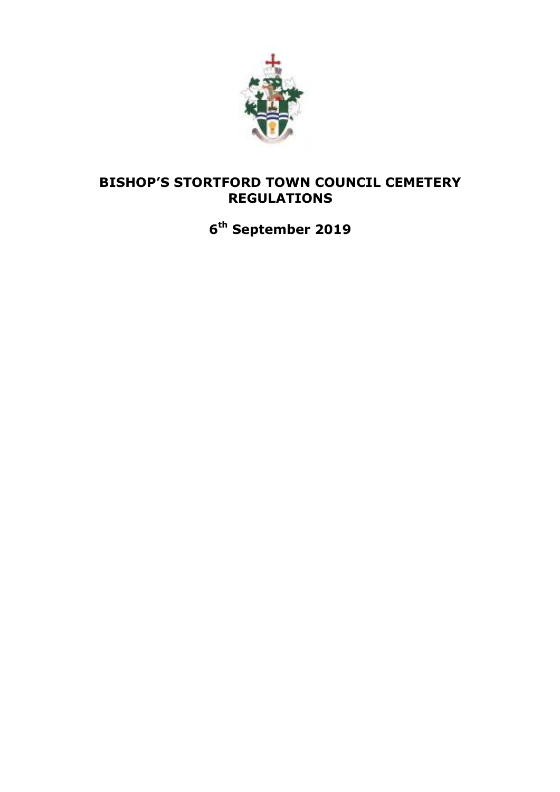

# **BISHOP'S STORTFORD TOWN COUNCIL CEMETERY REGULATIONS**

**6 th September 2019**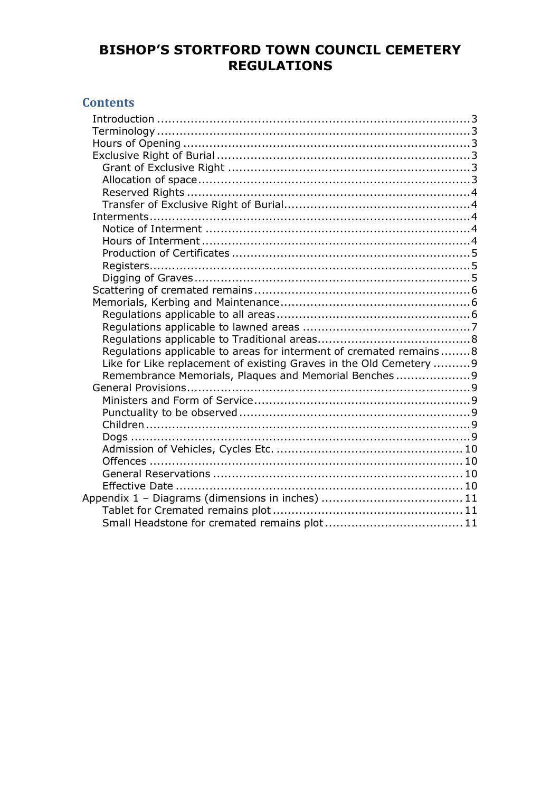# **BISHOP'S STORTFORD TOWN COUNCIL CEMETERY REGULATIONS**

## **Contents**

| Regulations applicable to areas for interment of cremated remains8  |  |
|---------------------------------------------------------------------|--|
| Like for Like replacement of existing Graves in the Old Cemetery  9 |  |
| Remembrance Memorials, Plaques and Memorial Benches9                |  |
|                                                                     |  |
|                                                                     |  |
|                                                                     |  |
|                                                                     |  |
|                                                                     |  |
|                                                                     |  |
|                                                                     |  |
|                                                                     |  |
|                                                                     |  |
|                                                                     |  |
|                                                                     |  |
|                                                                     |  |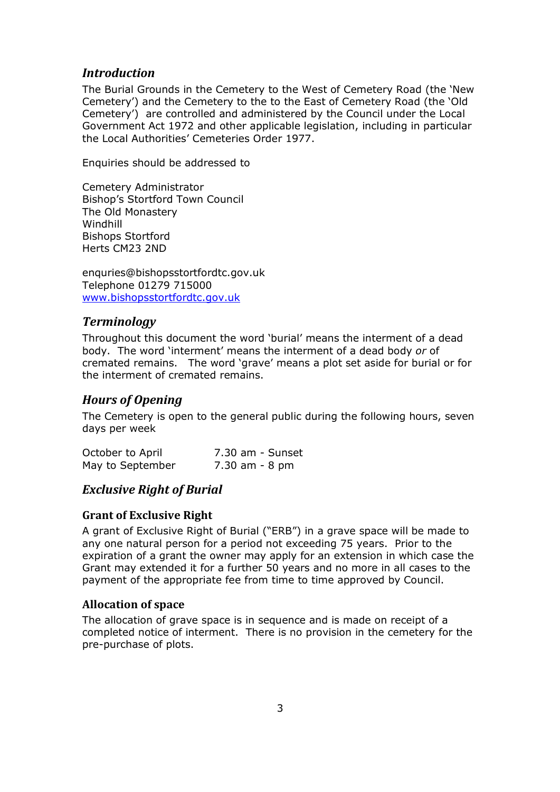## *Introduction*

The Burial Grounds in the Cemetery to the West of Cemetery Road (the 'New Cemetery') and the Cemetery to the to the East of Cemetery Road (the 'Old Cemetery') are controlled and administered by the Council under the Local Government Act 1972 and other applicable legislation, including in particular the Local Authorities' Cemeteries Order 1977.

Enquiries should be addressed to

Cemetery Administrator Bishop's Stortford Town Council The Old Monastery Windhill Bishops Stortford Herts CM23 2ND

enquries@bishopsstortfordtc.gov.uk Telephone 01279 715000 www.bishopsstortfordtc.gov.uk

## *Terminology*

Throughout this document the word 'burial' means the interment of a dead body. The word 'interment' means the interment of a dead body *or* of cremated remains. The word 'grave' means a plot set aside for burial or for the interment of cremated remains.

## *Hours of Opening*

The Cemetery is open to the general public during the following hours, seven days per week

| October to April | 7.30 am - Sunset |
|------------------|------------------|
| May to September | $7.30$ am - 8 pm |

## *Exclusive Right of Burial*

## **Grant of Exclusive Right**

A grant of Exclusive Right of Burial ("ERB") in a grave space will be made to any one natural person for a period not exceeding 75 years. Prior to the expiration of a grant the owner may apply for an extension in which case the Grant may extended it for a further 50 years and no more in all cases to the payment of the appropriate fee from time to time approved by Council.

## **Allocation of space**

The allocation of grave space is in sequence and is made on receipt of a completed notice of interment. There is no provision in the cemetery for the pre-purchase of plots.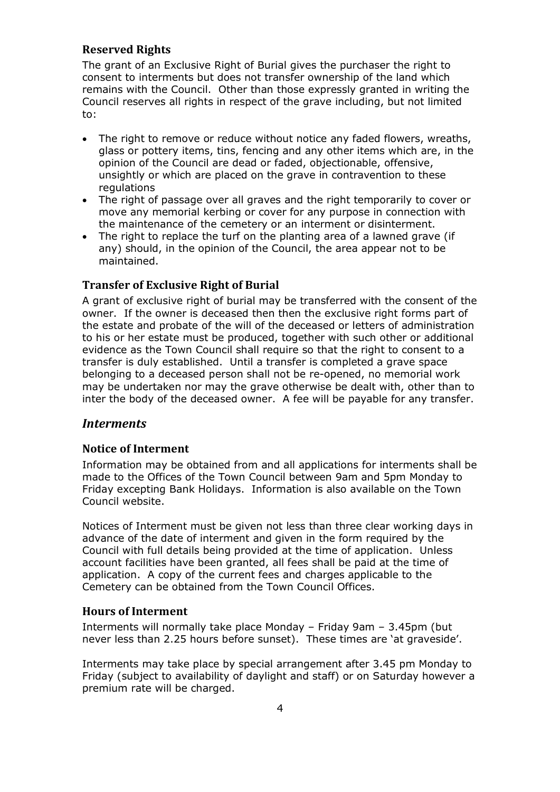## **Reserved Rights**

The grant of an Exclusive Right of Burial gives the purchaser the right to consent to interments but does not transfer ownership of the land which remains with the Council. Other than those expressly granted in writing the Council reserves all rights in respect of the grave including, but not limited to:

- The right to remove or reduce without notice any faded flowers, wreaths, glass or pottery items, tins, fencing and any other items which are, in the opinion of the Council are dead or faded, objectionable, offensive, unsightly or which are placed on the grave in contravention to these regulations
- The right of passage over all graves and the right temporarily to cover or move any memorial kerbing or cover for any purpose in connection with the maintenance of the cemetery or an interment or disinterment.
- The right to replace the turf on the planting area of a lawned grave (if any) should, in the opinion of the Council, the area appear not to be maintained.

## **Transfer of Exclusive Right of Burial**

A grant of exclusive right of burial may be transferred with the consent of the owner. If the owner is deceased then then the exclusive right forms part of the estate and probate of the will of the deceased or letters of administration to his or her estate must be produced, together with such other or additional evidence as the Town Council shall require so that the right to consent to a transfer is duly established. Until a transfer is completed a grave space belonging to a deceased person shall not be re-opened, no memorial work may be undertaken nor may the grave otherwise be dealt with, other than to inter the body of the deceased owner. A fee will be payable for any transfer.

## *Interments*

## **Notice of Interment**

Information may be obtained from and all applications for interments shall be made to the Offices of the Town Council between 9am and 5pm Monday to Friday excepting Bank Holidays. Information is also available on the Town Council website.

Notices of Interment must be given not less than three clear working days in advance of the date of interment and given in the form required by the Council with full details being provided at the time of application. Unless account facilities have been granted, all fees shall be paid at the time of application. A copy of the current fees and charges applicable to the Cemetery can be obtained from the Town Council Offices.

## **Hours of Interment**

Interments will normally take place Monday – Friday 9am – 3.45pm (but never less than 2.25 hours before sunset). These times are 'at graveside'.

Interments may take place by special arrangement after 3.45 pm Monday to Friday (subject to availability of daylight and staff) or on Saturday however a premium rate will be charged.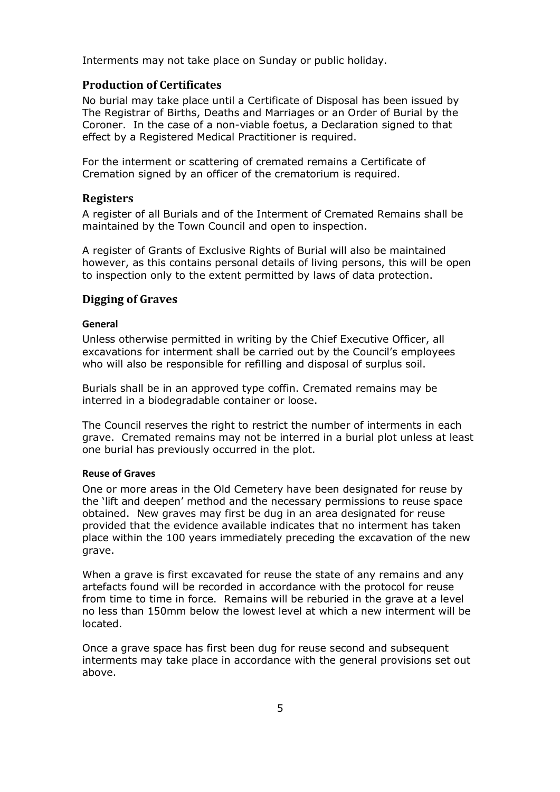Interments may not take place on Sunday or public holiday.

### **Production of Certificates**

No burial may take place until a Certificate of Disposal has been issued by The Registrar of Births, Deaths and Marriages or an Order of Burial by the Coroner. In the case of a non-viable foetus, a Declaration signed to that effect by a Registered Medical Practitioner is required.

For the interment or scattering of cremated remains a Certificate of Cremation signed by an officer of the crematorium is required.

#### **Registers**

A register of all Burials and of the Interment of Cremated Remains shall be maintained by the Town Council and open to inspection.

A register of Grants of Exclusive Rights of Burial will also be maintained however, as this contains personal details of living persons, this will be open to inspection only to the extent permitted by laws of data protection.

## **Digging of Graves**

#### **General**

Unless otherwise permitted in writing by the Chief Executive Officer, all excavations for interment shall be carried out by the Council's employees who will also be responsible for refilling and disposal of surplus soil.

Burials shall be in an approved type coffin. Cremated remains may be interred in a biodegradable container or loose.

The Council reserves the right to restrict the number of interments in each grave. Cremated remains may not be interred in a burial plot unless at least one burial has previously occurred in the plot.

#### **Reuse of Graves**

One or more areas in the Old Cemetery have been designated for reuse by the 'lift and deepen' method and the necessary permissions to reuse space obtained. New graves may first be dug in an area designated for reuse provided that the evidence available indicates that no interment has taken place within the 100 years immediately preceding the excavation of the new grave.

When a grave is first excavated for reuse the state of any remains and any artefacts found will be recorded in accordance with the protocol for reuse from time to time in force. Remains will be reburied in the grave at a level no less than 150mm below the lowest level at which a new interment will be located.

Once a grave space has first been dug for reuse second and subsequent interments may take place in accordance with the general provisions set out above.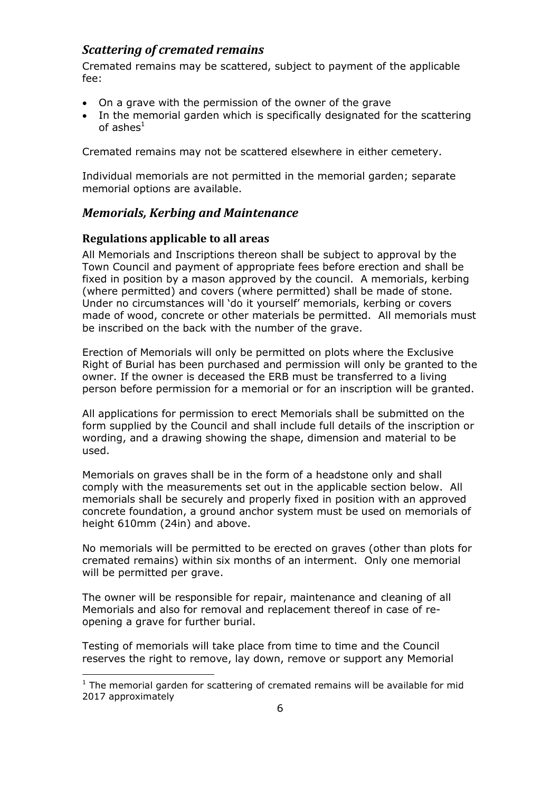## *Scattering of cremated remains*

Cremated remains may be scattered, subject to payment of the applicable fee:

- On a grave with the permission of the owner of the grave
- In the memorial garden which is specifically designated for the scattering of ashes $1$

Cremated remains may not be scattered elsewhere in either cemetery.

Individual memorials are not permitted in the memorial garden; separate memorial options are available.

## *Memorials, Kerbing and Maintenance*

## **Regulations applicable to all areas**

All Memorials and Inscriptions thereon shall be subject to approval by the Town Council and payment of appropriate fees before erection and shall be fixed in position by a mason approved by the council. A memorials, kerbing (where permitted) and covers (where permitted) shall be made of stone. Under no circumstances will 'do it yourself' memorials, kerbing or covers made of wood, concrete or other materials be permitted. All memorials must be inscribed on the back with the number of the grave.

Erection of Memorials will only be permitted on plots where the Exclusive Right of Burial has been purchased and permission will only be granted to the owner. If the owner is deceased the ERB must be transferred to a living person before permission for a memorial or for an inscription will be granted.

All applications for permission to erect Memorials shall be submitted on the form supplied by the Council and shall include full details of the inscription or wording, and a drawing showing the shape, dimension and material to be used.

Memorials on graves shall be in the form of a headstone only and shall comply with the measurements set out in the applicable section below. All memorials shall be securely and properly fixed in position with an approved concrete foundation, a ground anchor system must be used on memorials of height 610mm (24in) and above.

No memorials will be permitted to be erected on graves (other than plots for cremated remains) within six months of an interment. Only one memorial will be permitted per grave.

The owner will be responsible for repair, maintenance and cleaning of all Memorials and also for removal and replacement thereof in case of reopening a grave for further burial.

Testing of memorials will take place from time to time and the Council reserves the right to remove, lay down, remove or support any Memorial

 $1$  The memorial garden for scattering of cremated remains will be available for mid 2017 approximately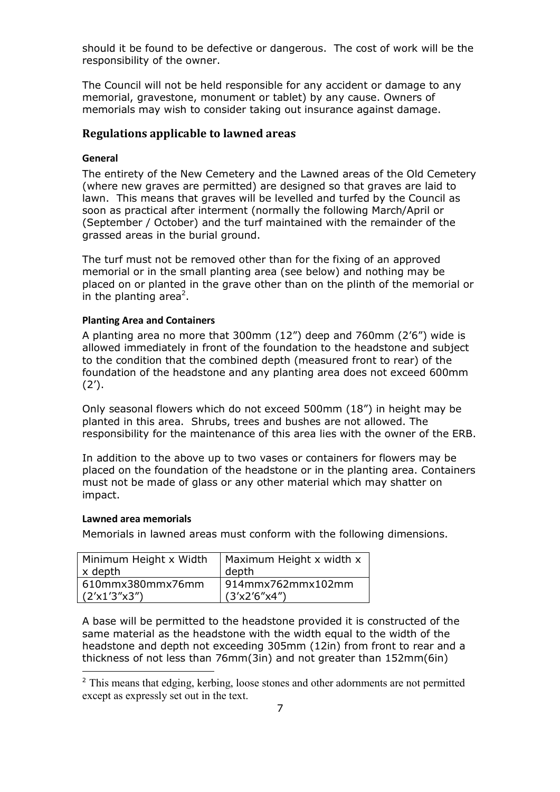should it be found to be defective or dangerous. The cost of work will be the responsibility of the owner.

The Council will not be held responsible for any accident or damage to any memorial, gravestone, monument or tablet) by any cause. Owners of memorials may wish to consider taking out insurance against damage.

#### **Regulations applicable to lawned areas**

#### **General**

The entirety of the New Cemetery and the Lawned areas of the Old Cemetery (where new graves are permitted) are designed so that graves are laid to lawn. This means that graves will be levelled and turfed by the Council as soon as practical after interment (normally the following March/April or (September / October) and the turf maintained with the remainder of the grassed areas in the burial ground.

The turf must not be removed other than for the fixing of an approved memorial or in the small planting area (see below) and nothing may be placed on or planted in the grave other than on the plinth of the memorial or in the planting area<sup>2</sup>.

#### **Planting Area and Containers**

A planting area no more that 300mm (12") deep and 760mm (2'6") wide is allowed immediately in front of the foundation to the headstone and subject to the condition that the combined depth (measured front to rear) of the foundation of the headstone and any planting area does not exceed 600mm  $(2')$ .

Only seasonal flowers which do not exceed 500mm (18") in height may be planted in this area. Shrubs, trees and bushes are not allowed. The responsibility for the maintenance of this area lies with the owner of the ERB.

In addition to the above up to two vases or containers for flowers may be placed on the foundation of the headstone or in the planting area. Containers must not be made of glass or any other material which may shatter on impact.

#### **Lawned area memorials**

1

Memorials in lawned areas must conform with the following dimensions.

| Minimum Height x Width | Maximum Height x width x |
|------------------------|--------------------------|
| x depth                | depth                    |
| 610mmx380mmx76mm       | 914mmx762mmx102mm        |
| (2'x1'3''x3'')         | (3'x2'6''x4'')           |

A base will be permitted to the headstone provided it is constructed of the same material as the headstone with the width equal to the width of the headstone and depth not exceeding 305mm (12in) from front to rear and a thickness of not less than 76mm(3in) and not greater than 152mm(6in)

<sup>&</sup>lt;sup>2</sup> This means that edging, kerbing, loose stones and other adornments are not permitted except as expressly set out in the text.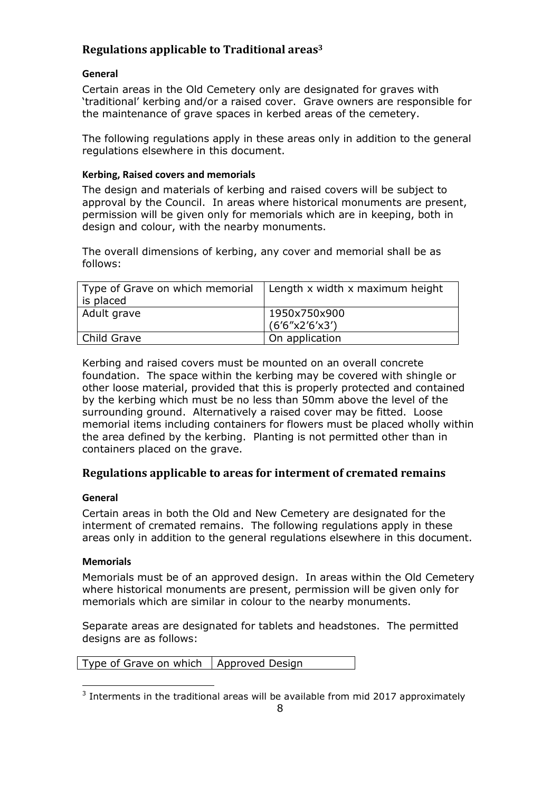## **Regulations applicable to Traditional areas<sup>3</sup>**

## **General**

Certain areas in the Old Cemetery only are designated for graves with 'traditional' kerbing and/or a raised cover. Grave owners are responsible for the maintenance of grave spaces in kerbed areas of the cemetery.

The following regulations apply in these areas only in addition to the general regulations elsewhere in this document.

## **Kerbing, Raised covers and memorials**

The design and materials of kerbing and raised covers will be subject to approval by the Council. In areas where historical monuments are present, permission will be given only for memorials which are in keeping, both in design and colour, with the nearby monuments.

The overall dimensions of kerbing, any cover and memorial shall be as follows:

| Type of Grave on which memorial | Length x width x maximum height |
|---------------------------------|---------------------------------|
| is placed                       |                                 |
| Adult grave                     | 1950x750x900                    |
|                                 | (6'6''x2'6'x3')                 |
| Child Grave                     | On application                  |

Kerbing and raised covers must be mounted on an overall concrete foundation. The space within the kerbing may be covered with shingle or other loose material, provided that this is properly protected and contained by the kerbing which must be no less than 50mm above the level of the surrounding ground. Alternatively a raised cover may be fitted. Loose memorial items including containers for flowers must be placed wholly within the area defined by the kerbing. Planting is not permitted other than in containers placed on the grave.

## **Regulations applicable to areas for interment of cremated remains**

## **General**

Certain areas in both the Old and New Cemetery are designated for the interment of cremated remains. The following regulations apply in these areas only in addition to the general regulations elsewhere in this document.

## **Memorials**

Memorials must be of an approved design. In areas within the Old Cemetery where historical monuments are present, permission will be given only for memorials which are similar in colour to the nearby monuments.

Separate areas are designated for tablets and headstones. The permitted designs are as follows:

Type of Grave on which  $\vert$  Approved Design

<sup>1</sup>  $3$  Interments in the traditional areas will be available from mid 2017 approximately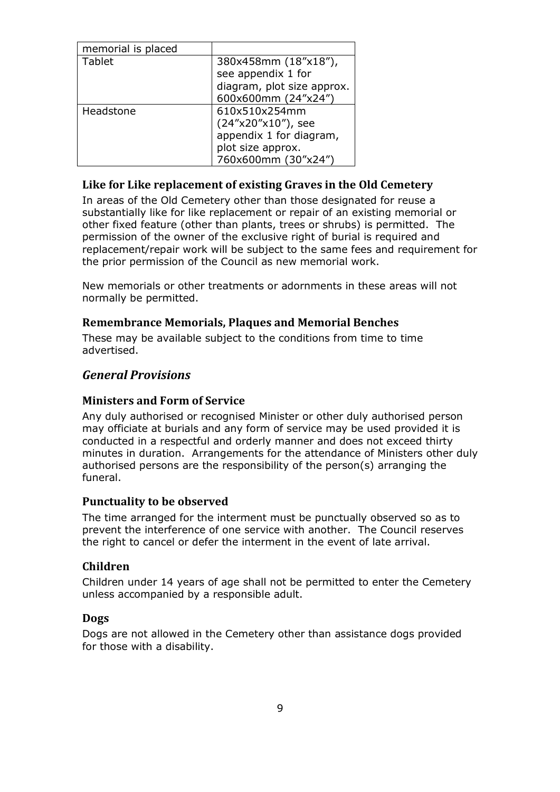| memorial is placed |                            |
|--------------------|----------------------------|
| <b>Tablet</b>      | 380x458mm (18"x18"),       |
|                    | see appendix 1 for         |
|                    | diagram, plot size approx. |
|                    | 600x600mm (24"x24")        |
| Headstone          | 610x510x254mm              |
|                    | (24"x20"x10"), see         |
|                    | appendix 1 for diagram,    |
|                    | plot size approx.          |
|                    | 760x600mm (30"x24")        |

## **Like for Like replacement of existing Graves in the Old Cemetery**

In areas of the Old Cemetery other than those designated for reuse a substantially like for like replacement or repair of an existing memorial or other fixed feature (other than plants, trees or shrubs) is permitted. The permission of the owner of the exclusive right of burial is required and replacement/repair work will be subject to the same fees and requirement for the prior permission of the Council as new memorial work.

New memorials or other treatments or adornments in these areas will not normally be permitted.

## **Remembrance Memorials, Plaques and Memorial Benches**

These may be available subject to the conditions from time to time advertised.

## *General Provisions*

## **Ministers and Form of Service**

Any duly authorised or recognised Minister or other duly authorised person may officiate at burials and any form of service may be used provided it is conducted in a respectful and orderly manner and does not exceed thirty minutes in duration. Arrangements for the attendance of Ministers other duly authorised persons are the responsibility of the person(s) arranging the funeral.

## **Punctuality to be observed**

The time arranged for the interment must be punctually observed so as to prevent the interference of one service with another. The Council reserves the right to cancel or defer the interment in the event of late arrival.

## **Children**

Children under 14 years of age shall not be permitted to enter the Cemetery unless accompanied by a responsible adult.

#### **Dogs**

Dogs are not allowed in the Cemetery other than assistance dogs provided for those with a disability.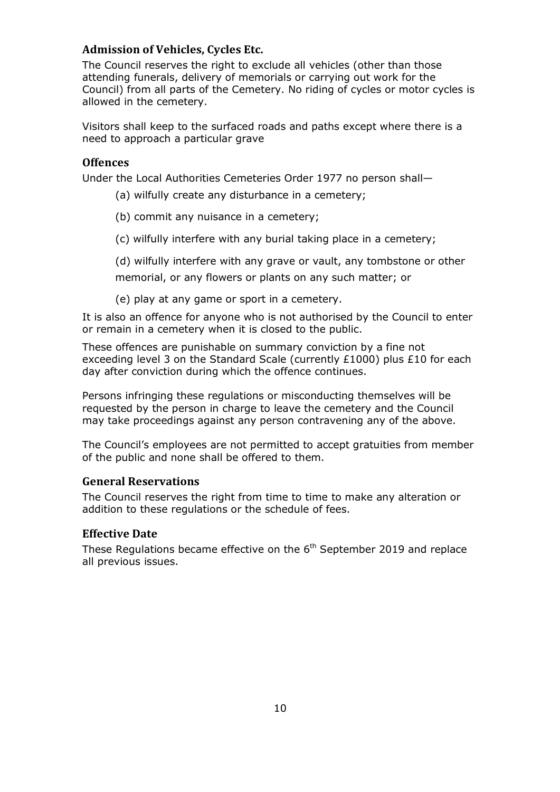## **Admission of Vehicles, Cycles Etc.**

The Council reserves the right to exclude all vehicles (other than those attending funerals, delivery of memorials or carrying out work for the Council) from all parts of the Cemetery. No riding of cycles or motor cycles is allowed in the cemetery.

Visitors shall keep to the surfaced roads and paths except where there is a need to approach a particular grave

## **Offences**

Under the Local Authorities Cemeteries Order 1977 no person shall—

- (a) wilfully create any disturbance in a cemetery;
- (b) commit any nuisance in a cemetery;
- (c) wilfully interfere with any burial taking place in a cemetery;
- (d) wilfully interfere with any grave or vault, any tombstone or other memorial, or any flowers or plants on any such matter; or
- (e) play at any game or sport in a cemetery.

It is also an offence for anyone who is not authorised by the Council to enter or remain in a cemetery when it is closed to the public.

These offences are punishable on summary conviction by a fine not exceeding level 3 on the Standard Scale (currently  $£1000$ ) plus  $£10$  for each day after conviction during which the offence continues.

Persons infringing these regulations or misconducting themselves will be requested by the person in charge to leave the cemetery and the Council may take proceedings against any person contravening any of the above.

The Council's employees are not permitted to accept gratuities from member of the public and none shall be offered to them.

## **General Reservations**

The Council reserves the right from time to time to make any alteration or addition to these regulations or the schedule of fees.

## **Effective Date**

These Regulations became effective on the  $6<sup>th</sup>$  September 2019 and replace all previous issues.